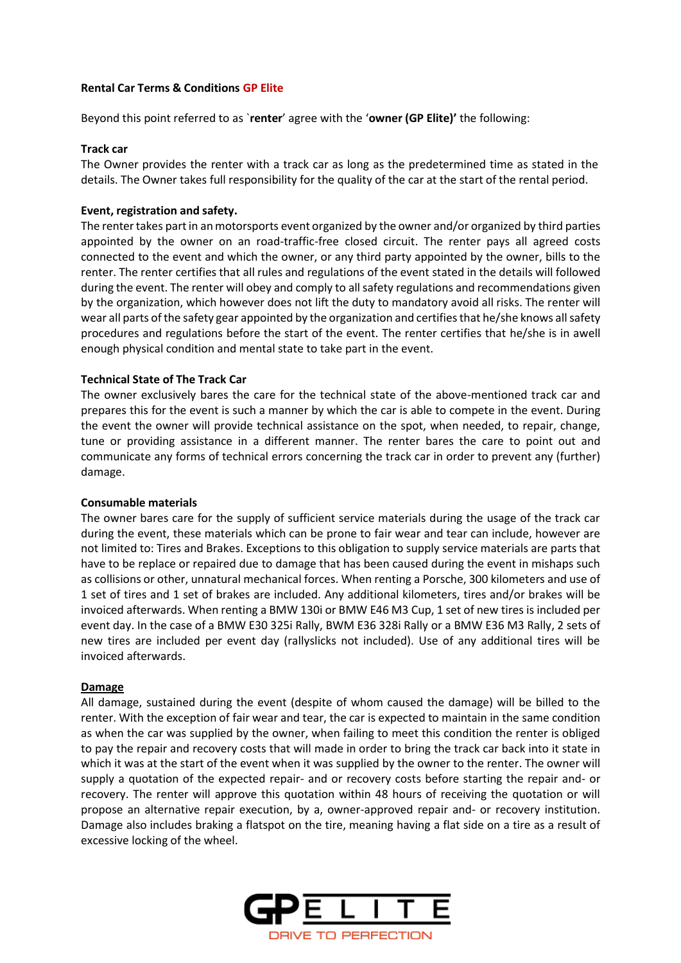# **Rental Car Terms & Conditions GP Elite**

Beyond this point referred to as `**renter**' agree with the '**owner (GP Elite)'** the following:

## **Track car**

The Owner provides the renter with a track car as long as the predetermined time as stated in the details. The Owner takes full responsibility for the quality of the car at the start of the rental period.

# **Event, registration and safety.**

The renter takes part in an motorsports event organized by the owner and/or organized by third parties appointed by the owner on an road-traffic-free closed circuit. The renter pays all agreed costs connected to the event and which the owner, or any third party appointed by the owner, bills to the renter. The renter certifies that all rules and regulations of the event stated in the details will followed during the event. The renter will obey and comply to all safety regulations and recommendations given by the organization, which however does not lift the duty to mandatory avoid all risks. The renter will wear all parts of the safety gear appointed by the organization and certifies that he/she knows allsafety procedures and regulations before the start of the event. The renter certifies that he/she is in awell enough physical condition and mental state to take part in the event.

# **Technical State of The Track Car**

The owner exclusively bares the care for the technical state of the above-mentioned track car and prepares this for the event is such a manner by which the car is able to compete in the event. During the event the owner will provide technical assistance on the spot, when needed, to repair, change, tune or providing assistance in a different manner. The renter bares the care to point out and communicate any forms of technical errors concerning the track car in order to prevent any (further) damage.

#### **Consumable materials**

The owner bares care for the supply of sufficient service materials during the usage of the track car during the event, these materials which can be prone to fair wear and tear can include, however are not limited to: Tires and Brakes. Exceptions to this obligation to supply service materials are parts that have to be replace or repaired due to damage that has been caused during the event in mishaps such as collisions or other, unnatural mechanical forces. When renting a Porsche, 300 kilometers and use of 1 set of tires and 1 set of brakes are included. Any additional kilometers, tires and/or brakes will be invoiced afterwards. When renting a BMW 130i or BMW E46 M3 Cup, 1 set of new tires is included per event day. In the case of a BMW E30 325i Rally, BWM E36 328i Rally or a BMW E36 M3 Rally, 2 sets of new tires are included per event day (rallyslicks not included). Use of any additional tires will be invoiced afterwards.

#### **Damage**

All damage, sustained during the event (despite of whom caused the damage) will be billed to the renter. With the exception of fair wear and tear, the car is expected to maintain in the same condition as when the car was supplied by the owner, when failing to meet this condition the renter is obliged to pay the repair and recovery costs that will made in order to bring the track car back into it state in which it was at the start of the event when it was supplied by the owner to the renter. The owner will supply a quotation of the expected repair- and or recovery costs before starting the repair and- or recovery. The renter will approve this quotation within 48 hours of receiving the quotation or will propose an alternative repair execution, by a, owner-approved repair and- or recovery institution. Damage also includes braking a flatspot on the tire, meaning having a flat side on a tire as a result of excessive locking of the wheel.

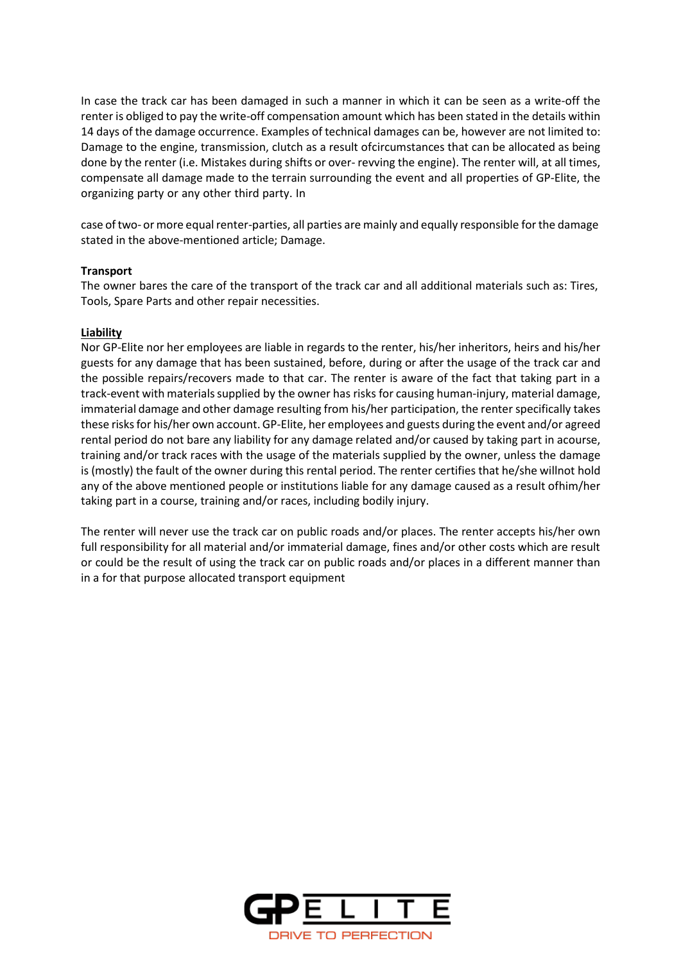In case the track car has been damaged in such a manner in which it can be seen as a write-off the renter is obliged to pay the write-off compensation amount which has been stated in the details within 14 days of the damage occurrence. Examples of technical damages can be, however are not limited to: Damage to the engine, transmission, clutch as a result ofcircumstances that can be allocated as being done by the renter (i.e. Mistakes during shifts or over- revving the engine). The renter will, at all times, compensate all damage made to the terrain surrounding the event and all properties of GP-Elite, the organizing party or any other third party. In

case of two- or more equal renter-parties, all parties are mainly and equally responsible for the damage stated in the above-mentioned article; Damage.

# **Transport**

The owner bares the care of the transport of the track car and all additional materials such as: Tires, Tools, Spare Parts and other repair necessities.

## **Liability**

Nor GP-Elite nor her employees are liable in regards to the renter, his/her inheritors, heirs and his/her guests for any damage that has been sustained, before, during or after the usage of the track car and the possible repairs/recovers made to that car. The renter is aware of the fact that taking part in a track-event with materialssupplied by the owner has risks for causing human-injury, material damage, immaterial damage and other damage resulting from his/her participation, the renter specifically takes these risks for his/her own account. GP-Elite, her employees and guests during the event and/or agreed rental period do not bare any liability for any damage related and/or caused by taking part in acourse, training and/or track races with the usage of the materials supplied by the owner, unless the damage is (mostly) the fault of the owner during this rental period. The renter certifies that he/she willnot hold any of the above mentioned people or institutions liable for any damage caused as a result ofhim/her taking part in a course, training and/or races, including bodily injury.

The renter will never use the track car on public roads and/or places. The renter accepts his/her own full responsibility for all material and/or immaterial damage, fines and/or other costs which are result or could be the result of using the track car on public roads and/or places in a different manner than in a for that purpose allocated transport equipment